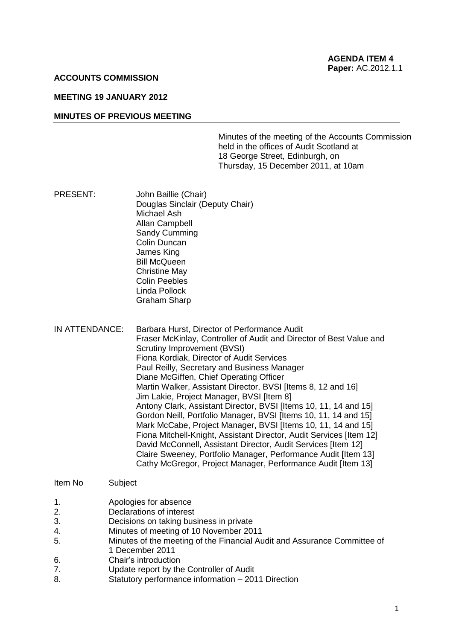## **ACCOUNTS COMMISSION**

### **MEETING 19 JANUARY 2012**

### **MINUTES OF PREVIOUS MEETING**

 Minutes of the meeting of the Accounts Commission held in the offices of Audit Scotland at 18 George Street, Edinburgh, on Thursday, 15 December 2011, at 10am

- PRESENT: Douglas Sinclair (Deputy Chair) Michael Ash Allan Campbell Sandy Cumming James King Bill McQueen Graham Sharp John Baillie (Chair) Colin Duncan Christine May Colin Peebles Linda Pollock
- IN ATTENDANCE: Barbara Hurst, Director of Performance Audit Fraser McKinlay, Controller of Audit and Director of Best Value and Scrutiny Improvement (BVSI) Fiona Kordiak, Director of Audit Services Paul Reilly, Secretary and Business Manager Diane McGiffen, Chief Operating Officer Martin Walker, Assistant Director, BVSI [Items 8, 12 and 16] Jim Lakie, Project Manager, BVSI [Item 8] Antony Clark, Assistant Director, BVSI [Items 10, 11, 14 and 15] Gordon Neill, Portfolio Manager, BVSI [Items 10, 11, 14 and 15] Mark McCabe, Project Manager, BVSI [Items 10, 11, 14 and 15] Fiona Mitchell-Knight, Assistant Director, Audit Services [Item 12] David McConnell, Assistant Director, Audit Services [Item 12] Claire Sweeney, Portfolio Manager, Performance Audit [Item 13] Cathy McGregor, Project Manager, Performance Audit [Item 13]

### Item No Subject

- $1$ Apologies for absence
- $2.$ Declarations of interest
- $\overline{3}$ Decisions on taking business in private
- $\overline{4}$ Minutes of meeting of 10 November 2011
- 5. Minutes of the meeting of the Financial Audit and Assurance Committee of 1 December 2011
- 6. Chair's introduction
- 7. **Update report by the Controller of Audit**
- 8. Statutory performance information 2011 Direction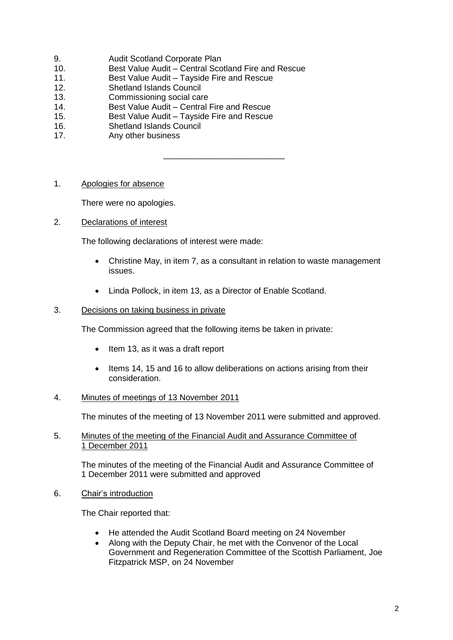- 9. Audit Scotland Corporate Plan
- 10. Best Value Audit Central Scotland Fire and Rescue
- 11. Best Value Audit Tayside Fire and Rescue
- 12. Shetland Islands Council
- 13. Commissioning social care
- 14. Best Value Audit Central Fire and Rescue
- 15. Best Value Audit Tayside Fire and Rescue
- 16. Shetland Islands Council
- 17. Any other business
- 1. Apologies for absence

There were no apologies.

2. Declarations of interest

The following declarations of interest were made:

 Christine May, in item 7, as a consultant in relation to waste management issues.

\_\_\_\_\_\_\_\_\_\_\_\_\_\_\_\_\_\_\_\_\_\_\_\_\_\_

Linda Pollock, in item 13, as a Director of Enable Scotland.

# 3. Decisions on taking business in private

The Commission agreed that the following items be taken in private:

- Item 13, as it was a draft report
- Items 14, 15 and 16 to allow deliberations on actions arising from their consideration.

# 4. Minutes of meetings of 13 November 2011

The minutes of the meeting of 13 November 2011 were submitted and approved.

# 5. Minutes of the meeting of the Financial Audit and Assurance Committee of 1 December 2011

 The minutes of the meeting of the Financial Audit and Assurance Committee of 1 December 2011 were submitted and approved

6. Chair's introduction

The Chair reported that:

- He attended the Audit Scotland Board meeting on 24 November
- $\bullet$  Government and Regeneration Committee of the Scottish Parliament, Joe Fitzpatrick MSP, on 24 November Along with the Deputy Chair, he met with the Convenor of the Local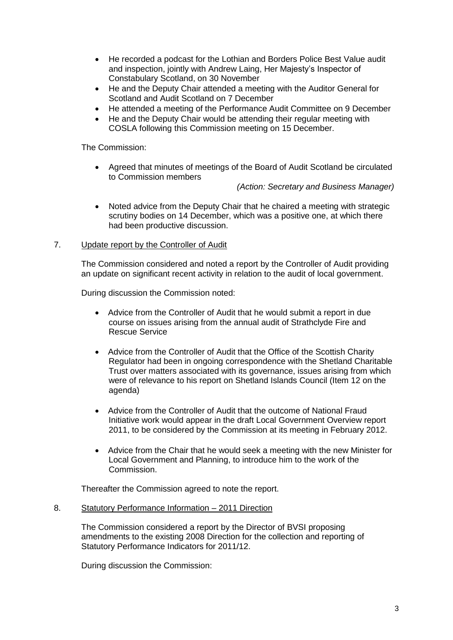- He recorded a podcast for the Lothian and Borders Police Best Value audit and inspection, jointly with Andrew Laing, Her Majesty's Inspector of Constabulary Scotland, on 30 November
- He and the Deputy Chair attended a meeting with the Auditor General for Scotland and Audit Scotland on 7 December
- He attended a meeting of the Performance Audit Committee on 9 December
- He and the Deputy Chair would be attending their regular meeting with COSLA following this Commission meeting on 15 December.

The Commission:

 Agreed that minutes of meetings of the Board of Audit Scotland be circulated to Commission members

 *(Action: Secretary and Business Manager)* 

 Noted advice from the Deputy Chair that he chaired a meeting with strategic scrutiny bodies on 14 December, which was a positive one, at which there had been productive discussion.

# 7. Update report by the Controller of Audit

 The Commission considered and noted a report by the Controller of Audit providing an update on significant recent activity in relation to the audit of local government.

During discussion the Commission noted:

- Advice from the Controller of Audit that he would submit a report in due course on issues arising from the annual audit of Strathclyde Fire and Rescue Service
- Advice from the Controller of Audit that the Office of the Scottish Charity Regulator had been in ongoing correspondence with the Shetland Charitable Trust over matters associated with its governance, issues arising from which were of relevance to his report on Shetland Islands Council (Item 12 on the agenda)
- Advice from the Controller of Audit that the outcome of National Fraud Initiative work would appear in the draft Local Government Overview report 2011, to be considered by the Commission at its meeting in February 2012.
- Advice from the Chair that he would seek a meeting with the new Minister for Local Government and Planning, to introduce him to the work of the Commission.

Thereafter the Commission agreed to note the report.

## 8. Statutory Performance Information - 2011 Direction

 The Commission considered a report by the Director of BVSI proposing amendments to the existing 2008 Direction for the collection and reporting of Statutory Performance Indicators for 2011/12.

During discussion the Commission: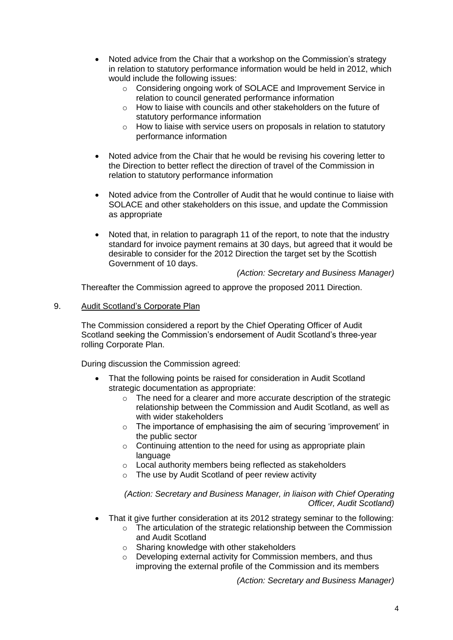- Noted advice from the Chair that a workshop on the Commission's strategy in relation to statutory performance information would be held in 2012, which would include the following issues:
	- o Considering ongoing work of SOLACE and Improvement Service in relation to council generated performance information
	- $\circ$  How to liaise with councils and other stakeholders on the future of statutory performance information
	- $\circ$  How to liaise with service users on proposals in relation to statutory performance information
- Noted advice from the Chair that he would be revising his covering letter to the Direction to better reflect the direction of travel of the Commission in relation to statutory performance information
- Noted advice from the Controller of Audit that he would continue to liaise with SOLACE and other stakeholders on this issue, and update the Commission as appropriate
- Noted that, in relation to paragraph 11 of the report, to note that the industry standard for invoice payment remains at 30 days, but agreed that it would be desirable to consider for the 2012 Direction the target set by the Scottish Government of 10 days.

 *(Action: Secretary and Business Manager)* 

Thereafter the Commission agreed to approve the proposed 2011 Direction.

#### $\Omega$ Audit Scotland's Corporate Plan

 The Commission considered a report by the Chief Operating Officer of Audit Scotland seeking the Commission's endorsement of Audit Scotland's three-year rolling Corporate Plan.

During discussion the Commission agreed:

- $\bullet$  That the following points be raised for consideration in Audit Scotland strategic documentation as appropriate:
	- $\circ$  The need for a clearer and more accurate description of the strategic relationship between the Commission and Audit Scotland, as well as with wider stakeholders
	- $\circ$  The importance of emphasising the aim of securing 'improvement' in the public sector
	- $\circ$  Continuing attention to the need for using as appropriate plain language
	- $\circ$  Local authority members being reflected as stakeholders
	- $\circ$  The use by Audit Scotland of peer review activity

 *(Action: Secretary and Business Manager, in liaison with Chief Operating Officer, Audit Scotland)* 

- That it give further consideration at its 2012 strategy seminar to the following:
	- $\circ$  The articulation of the strategic relationship between the Commission and Audit Scotland
		- $\circ$  Sharing knowledge with other stakeholders
		- $\circ$  Developing external activity for Commission members, and thus improving the external profile of the Commission and its members

 *(Action: Secretary and Business Manager)*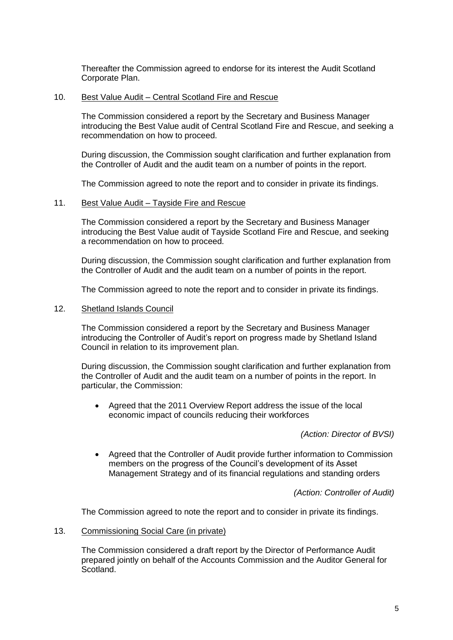Thereafter the Commission agreed to endorse for its interest the Audit Scotland Corporate Plan.

## 10. Best Value Audit – Central Scotland Fire and Rescue

 The Commission considered a report by the Secretary and Business Manager introducing the Best Value audit of Central Scotland Fire and Rescue, and seeking a recommendation on how to proceed.

 During discussion, the Commission sought clarification and further explanation from the Controller of Audit and the audit team on a number of points in the report.

The Commission agreed to note the report and to consider in private its findings.

## 11. Best Value Audit – Tayside Fire and Rescue

 The Commission considered a report by the Secretary and Business Manager introducing the Best Value audit of Tayside Scotland Fire and Rescue, and seeking a recommendation on how to proceed.

 During discussion, the Commission sought clarification and further explanation from the Controller of Audit and the audit team on a number of points in the report.

The Commission agreed to note the report and to consider in private its findings.

## 12. Shetland Islands Council

 The Commission considered a report by the Secretary and Business Manager introducing the Controller of Audit's report on progress made by Shetland Island Council in relation to its improvement plan.

 During discussion, the Commission sought clarification and further explanation from the Controller of Audit and the audit team on a number of points in the report. In particular, the Commission:

 economic impact of councils reducing their workforces Agreed that the 2011 Overview Report address the issue of the local

 *(Action: Director of BVSI)* 

 $\bullet$  members on the progress of the Council's development of its Asset Management Strategy and of its financial regulations and standing orders Agreed that the Controller of Audit provide further information to Commission

 *(Action: Controller of Audit)* 

The Commission agreed to note the report and to consider in private its findings.

13. Commissioning Social Care (in private)

 The Commission considered a draft report by the Director of Performance Audit prepared jointly on behalf of the Accounts Commission and the Auditor General for Scotland.